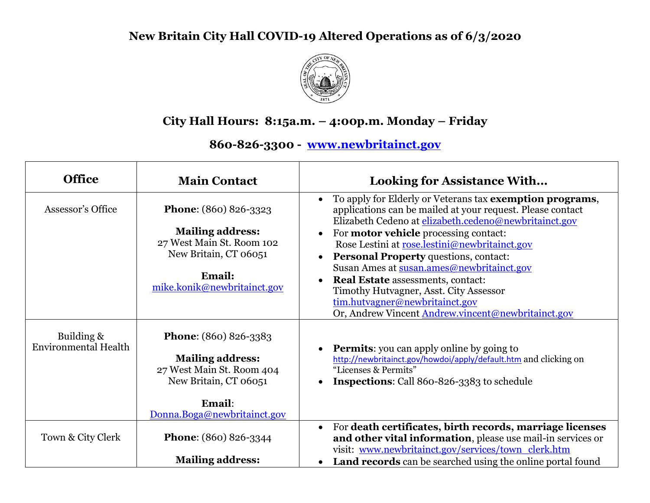## **New Britain City Hall COVID-19 Altered Operations as of 6/3/2020**



## **City Hall Hours: 8:15a.m. – 4:00p.m. Monday – Friday**

**860-826-3300 - [www.newbritainct.gov](http://www.newbritainct.gov/)**

| <b>Office</b>                             | <b>Main Contact</b>                                                                                                                                    | <b>Looking for Assistance With</b>                                                                                                                                                                                                                                                                                                                                     |
|-------------------------------------------|--------------------------------------------------------------------------------------------------------------------------------------------------------|------------------------------------------------------------------------------------------------------------------------------------------------------------------------------------------------------------------------------------------------------------------------------------------------------------------------------------------------------------------------|
| Assessor's Office                         | <b>Phone:</b> (860) 826-3323<br><b>Mailing address:</b><br>27 West Main St. Room 102<br>New Britain, CT 06051                                          | To apply for Elderly or Veterans tax exemption programs,<br>applications can be mailed at your request. Please contact<br>Elizabeth Cedeno at elizabeth.cedeno@newbritainct.gov<br>For <b>motor vehicle</b> processing contact:<br>Rose Lestini at rose.lestini@newbritainct.gov<br>Personal Property questions, contact:<br>Susan Ames at susan.ames@newbritainct.gov |
|                                           | Email:<br>mike.konik@newbritainct.gov                                                                                                                  | <b>Real Estate</b> assessments, contact:<br>$\bullet$<br>Timothy Hutvagner, Asst. City Assessor<br>tim.hutvagner@newbritainct.gov<br>Or, Andrew Vincent Andrew.vincent@newbritainct.gov                                                                                                                                                                                |
| Building &<br><b>Environmental Health</b> | <b>Phone:</b> (860) 826-3383<br><b>Mailing address:</b><br>27 West Main St. Room 404<br>New Britain, CT 06051<br>Email:<br>Donna.Boga@newbritainct.gov | <b>Permits:</b> you can apply online by going to<br>http://newbritainct.gov/howdoi/apply/default.htm and clicking on<br>"Licenses & Permits"<br><b>Inspections:</b> Call 860-826-3383 to schedule                                                                                                                                                                      |
| Town & City Clerk                         | <b>Phone:</b> (860) 826-3344<br><b>Mailing address:</b>                                                                                                | For death certificates, birth records, marriage licenses<br>$\bullet$<br>and other vital information, please use mail-in services or<br>visit: www.newbritainct.gov/services/town_clerk.htm<br><b>Land records</b> can be searched using the online portal found                                                                                                       |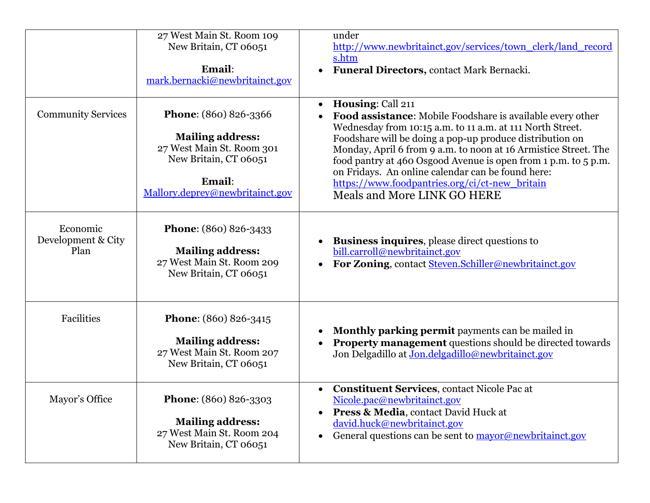|                                        | 27 West Main St. Room 109<br>New Britain, CT 06051<br>Email:<br>mark.bernacki@newbritainct.gov                                                      | under<br>http://www.newbritainct.gov/services/town_clerk/land_record<br>s.htm<br>Funeral Directors, contact Mark Bernacki.<br>$\bullet$                                                                                                                                                                                                                                                                                                                                                          |
|----------------------------------------|-----------------------------------------------------------------------------------------------------------------------------------------------------|--------------------------------------------------------------------------------------------------------------------------------------------------------------------------------------------------------------------------------------------------------------------------------------------------------------------------------------------------------------------------------------------------------------------------------------------------------------------------------------------------|
| <b>Community Services</b>              | Phone: (860) 826-3366<br><b>Mailing address:</b><br>27 West Main St. Room 301<br>New Britain, CT 06051<br>Email:<br>Mallory.deprey@newbritainct.gov | Housing: Call 211<br>$\bullet$<br>Food assistance: Mobile Foodshare is available every other<br>Wednesday from 10:15 a.m. to 11 a.m. at 111 North Street.<br>Foodshare will be doing a pop-up produce distribution on<br>Monday, April 6 from 9 a.m. to noon at 16 Armistice Street. The<br>food pantry at 460 Osgood Avenue is open from 1 p.m. to 5 p.m.<br>on Fridays. An online calendar can be found here:<br>https://www.foodpantries.org/ci/ct-new britain<br>Meals and More LINK GO HERE |
| Economic<br>Development & City<br>Plan | <b>Phone:</b> (860) 826-3433<br><b>Mailing address:</b><br>27 West Main St. Room 209<br>New Britain, CT 06051                                       | <b>Business inquires</b> , please direct questions to<br>$\bullet$<br>bill.carroll@newbritainct.gov<br>For Zoning, contact Steven.Schiller@newbritainct.gov<br>$\bullet$                                                                                                                                                                                                                                                                                                                         |
| Facilities                             | <b>Phone:</b> (860) 826-3415<br><b>Mailing address:</b><br>27 West Main St. Room 207<br>New Britain, CT 06051                                       | Monthly parking permit payments can be mailed in<br>$\bullet$<br><b>Property management</b> questions should be directed towards<br>Jon Delgadillo at Jon.delgadillo@newbritainct.gov                                                                                                                                                                                                                                                                                                            |
| Mayor's Office                         | Phone: (860) 826-3303<br><b>Mailing address:</b><br>27 West Main St. Room 204<br>New Britain, CT 06051                                              | <b>Constituent Services, contact Nicole Pac at</b><br>$\bullet$<br>Nicole.pac@newbritainct.gov<br>Press & Media, contact David Huck at<br>david.huck@newbritainct.gov<br>General questions can be sent to mayor@newbritainct.gov                                                                                                                                                                                                                                                                 |